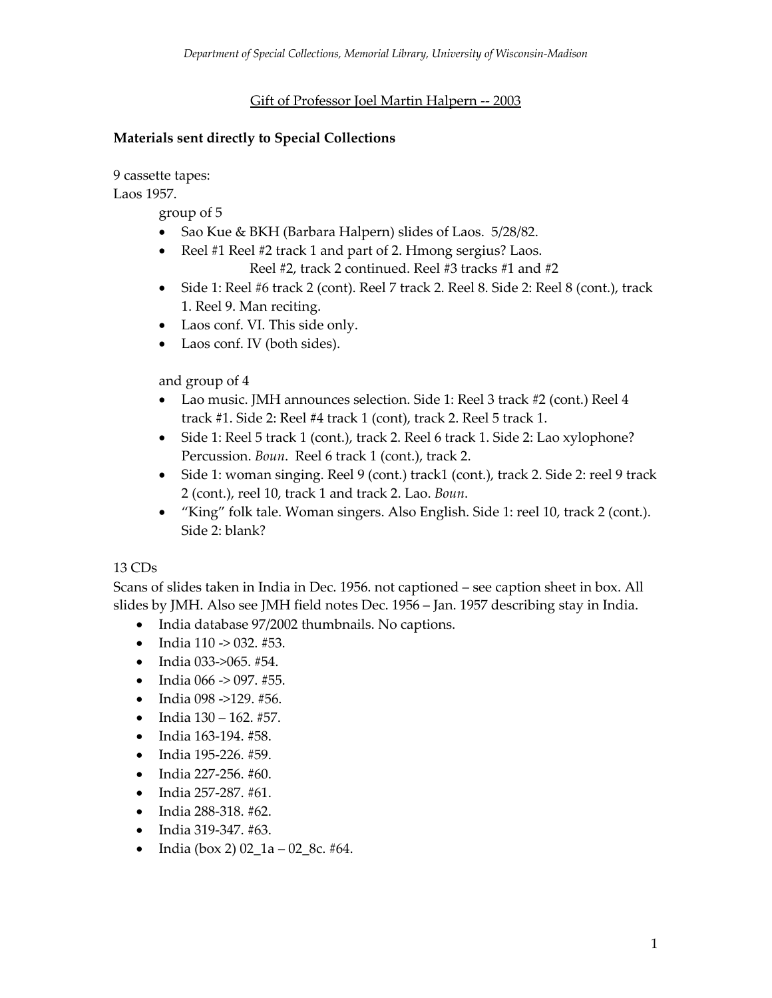#### Gift of Professor Joel Martin Halpern -- 2003

#### **Materials sent directly to Special Collections**

9 cassette tapes:

Laos 1957.

group of 5

- Sao Kue & BKH (Barbara Halpern) slides of Laos. 5/28/82.
- Reel #1 Reel #2 track 1 and part of 2. Hmong sergius? Laos.

Reel #2, track 2 continued. Reel #3 tracks #1 and #2

- Side 1: Reel #6 track 2 (cont). Reel 7 track 2. Reel 8. Side 2: Reel 8 (cont.), track 1. Reel 9. Man reciting.
- Laos conf. VI. This side only.
- Laos conf. IV (both sides).

and group of 4

- Lao music. JMH announces selection. Side 1: Reel 3 track #2 (cont.) Reel 4 track #1. Side 2: Reel #4 track 1 (cont), track 2. Reel 5 track 1.
- Side 1: Reel 5 track 1 (cont.), track 2. Reel 6 track 1. Side 2: Lao xylophone? Percussion. *Boun*. Reel 6 track 1 (cont.), track 2.
- Side 1: woman singing. Reel 9 (cont.) track1 (cont.), track 2. Side 2: reel 9 track 2 (cont.), reel 10, track 1 and track 2. Lao. *Boun*.
- "King" folk tale. Woman singers. Also English. Side 1: reel 10, track 2 (cont.). Side 2: blank?

#### 13 CDs

Scans of slides taken in India in Dec. 1956. not captioned – see caption sheet in box. All slides by JMH. Also see JMH field notes Dec. 1956 – Jan. 1957 describing stay in India.

- India database 97/2002 thumbnails. No captions.
- India  $110 \rightarrow 032$ . #53.
- India 033->065. #54.
- India  $066 \rightarrow 097. \#55$ .
- India 098 ->129. #56.
- India  $130 162$ . #57.
- India 163-194. #58.
- India 195-226. #59.
- India 227-256. #60.
- India 257-287. #61.
- India 288-318. #62.
- India 319-347. #63.
- India (box 2)  $02\_1a 02\_8c$ . #64.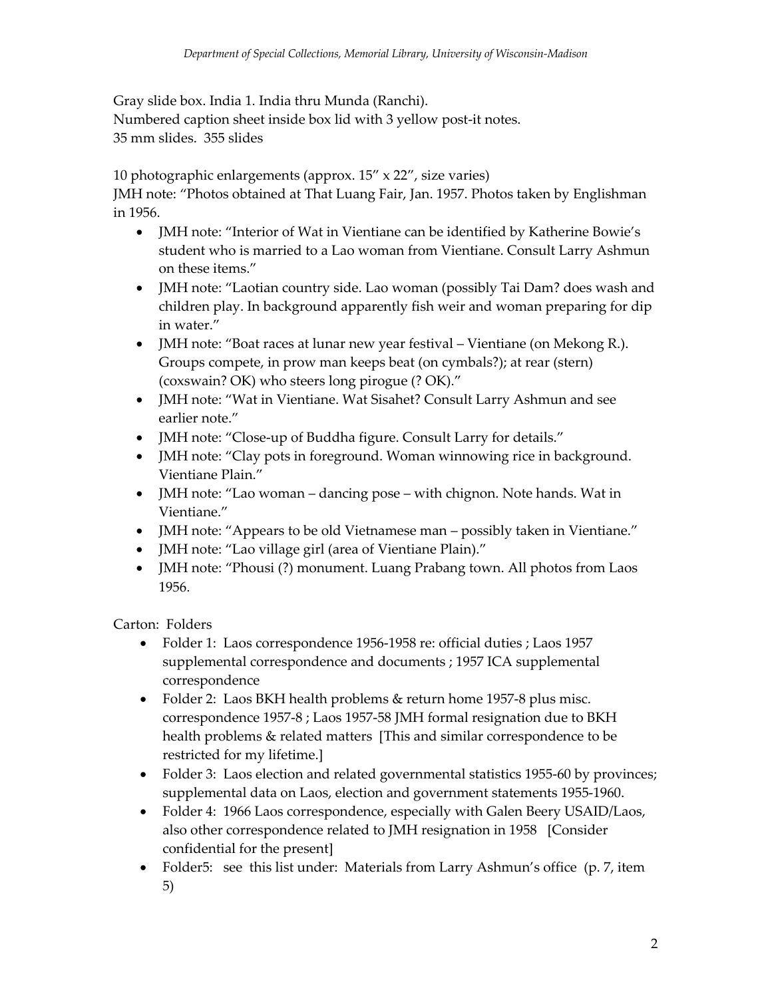Gray slide box. India 1. India thru Munda (Ranchi). Numbered caption sheet inside box lid with 3 yellow post-it notes. 35 mm slides. 355 slides

10 photographic enlargements (approx. 15" x 22", size varies)

JMH note: "Photos obtained at That Luang Fair, Jan. 1957. Photos taken by Englishman in 1956.

- JMH note: "Interior of Wat in Vientiane can be identified by Katherine Bowie's student who is married to a Lao woman from Vientiane. Consult Larry Ashmun on these items."
- JMH note: "Laotian country side. Lao woman (possibly Tai Dam? does wash and children play. In background apparently fish weir and woman preparing for dip in water."
- JMH note: "Boat races at lunar new year festival Vientiane (on Mekong R.). Groups compete, in prow man keeps beat (on cymbals?); at rear (stern) (coxswain? OK) who steers long pirogue (? OK)."
- JMH note: "Wat in Vientiane. Wat Sisahet? Consult Larry Ashmun and see earlier note."
- JMH note: "Close-up of Buddha figure. Consult Larry for details."
- JMH note: "Clay pots in foreground. Woman winnowing rice in background. Vientiane Plain."
- JMH note: "Lao woman dancing pose with chignon. Note hands. Wat in Vientiane."
- JMH note: "Appears to be old Vietnamese man possibly taken in Vientiane."
- JMH note: "Lao village girl (area of Vientiane Plain)."
- JMH note: "Phousi (?) monument. Luang Prabang town. All photos from Laos 1956.

Carton: Folders

- Folder 1: Laos correspondence 1956-1958 re: official duties ; Laos 1957 supplemental correspondence and documents ; 1957 ICA supplemental correspondence
- Folder 2: Laos BKH health problems & return home 1957-8 plus misc. correspondence 1957-8 ; Laos 1957-58 JMH formal resignation due to BKH health problems & related matters [This and similar correspondence to be restricted for my lifetime.]
- Folder 3: Laos election and related governmental statistics 1955-60 by provinces; supplemental data on Laos, election and government statements 1955-1960.
- Folder 4: 1966 Laos correspondence, especially with Galen Beery USAID/Laos, also other correspondence related to JMH resignation in 1958 [Consider confidential for the present]
- Folder5: see this list under: Materials from Larry Ashmun's office (p. 7, item 5)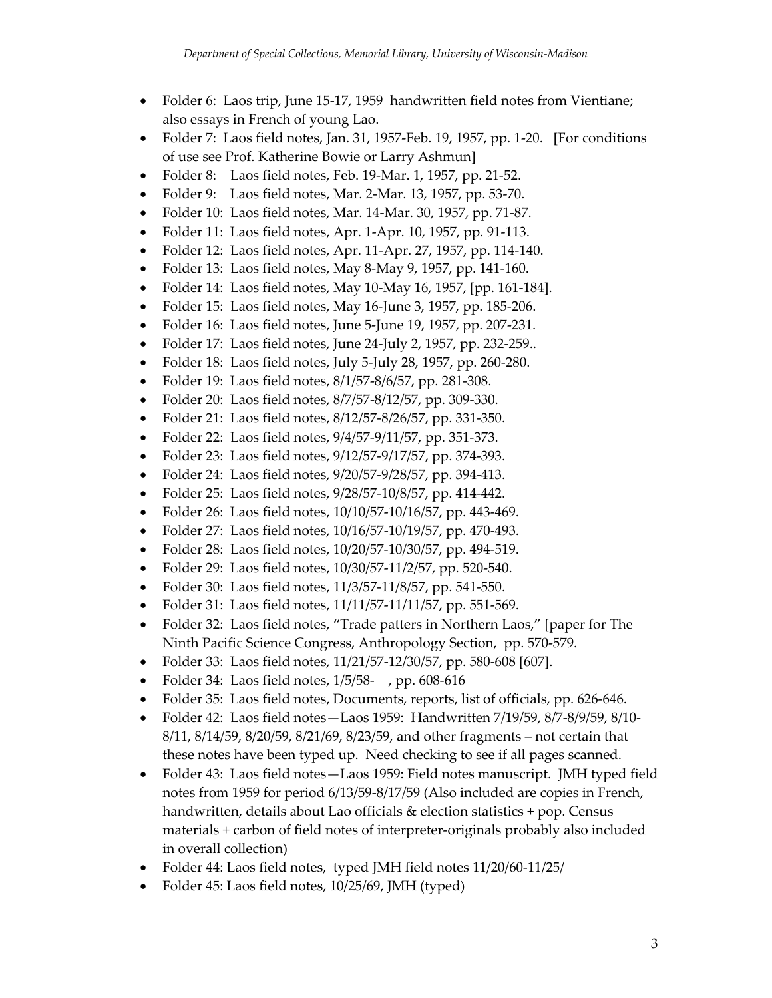- Folder 6: Laos trip, June 15-17, 1959 handwritten field notes from Vientiane; also essays in French of young Lao.
- Folder 7: Laos field notes, Jan. 31, 1957-Feb. 19, 1957, pp. 1-20. [For conditions of use see Prof. Katherine Bowie or Larry Ashmun]
- Folder 8: Laos field notes, Feb. 19-Mar. 1, 1957, pp. 21-52.
- Folder 9: Laos field notes, Mar. 2-Mar. 13, 1957, pp. 53-70.
- Folder 10: Laos field notes, Mar. 14-Mar. 30, 1957, pp. 71-87.
- Folder 11: Laos field notes, Apr. 1-Apr. 10, 1957, pp. 91-113.
- Folder 12: Laos field notes, Apr. 11-Apr. 27, 1957, pp. 114-140.
- Folder 13: Laos field notes, May 8-May 9, 1957, pp. 141-160.
- Folder 14: Laos field notes, May 10-May 16, 1957, [pp. 161-184].
- Folder 15: Laos field notes, May 16-June 3, 1957, pp. 185-206.
- Folder 16: Laos field notes, June 5-June 19, 1957, pp. 207-231.
- Folder 17: Laos field notes, June 24-July 2, 1957, pp. 232-259..
- Folder 18: Laos field notes, July 5-July 28, 1957, pp. 260-280.
- Folder 19: Laos field notes, 8/1/57-8/6/57, pp. 281-308.
- Folder 20: Laos field notes, 8/7/57-8/12/57, pp. 309-330.
- Folder 21: Laos field notes, 8/12/57-8/26/57, pp. 331-350.
- Folder 22: Laos field notes, 9/4/57-9/11/57, pp. 351-373.
- Folder 23: Laos field notes, 9/12/57-9/17/57, pp. 374-393.
- Folder 24: Laos field notes, 9/20/57-9/28/57, pp. 394-413.
- Folder 25: Laos field notes,  $9/28/57-10/8/57$ , pp. 414-442.
- Folder 26: Laos field notes, 10/10/57-10/16/57, pp. 443-469.
- Folder 27: Laos field notes, 10/16/57-10/19/57, pp. 470-493.
- Folder 28: Laos field notes, 10/20/57-10/30/57, pp. 494-519.
- Folder 29: Laos field notes, 10/30/57-11/2/57, pp. 520-540.
- Folder 30: Laos field notes, 11/3/57-11/8/57, pp. 541-550.
- Folder 31: Laos field notes, 11/11/57-11/11/57, pp. 551-569.
- Folder 32: Laos field notes, "Trade patters in Northern Laos," [paper for The Ninth Pacific Science Congress, Anthropology Section, pp. 570-579.
- Folder 33: Laos field notes, 11/21/57-12/30/57, pp. 580-608 [607].
- Folder 34: Laos field notes, 1/5/58-, pp. 608-616
- Folder 35: Laos field notes, Documents, reports, list of officials, pp. 626-646.
- Folder 42: Laos field notes—Laos 1959: Handwritten 7/19/59, 8/7-8/9/59, 8/10- 8/11, 8/14/59, 8/20/59, 8/21/69, 8/23/59, and other fragments – not certain that these notes have been typed up. Need checking to see if all pages scanned.
- Folder 43: Laos field notes—Laos 1959: Field notes manuscript. JMH typed field notes from 1959 for period 6/13/59-8/17/59 (Also included are copies in French, handwritten, details about Lao officials & election statistics + pop. Census materials + carbon of field notes of interpreter-originals probably also included in overall collection)
- Folder 44: Laos field notes, typed JMH field notes 11/20/60-11/25/
- Folder 45: Laos field notes, 10/25/69, JMH (typed)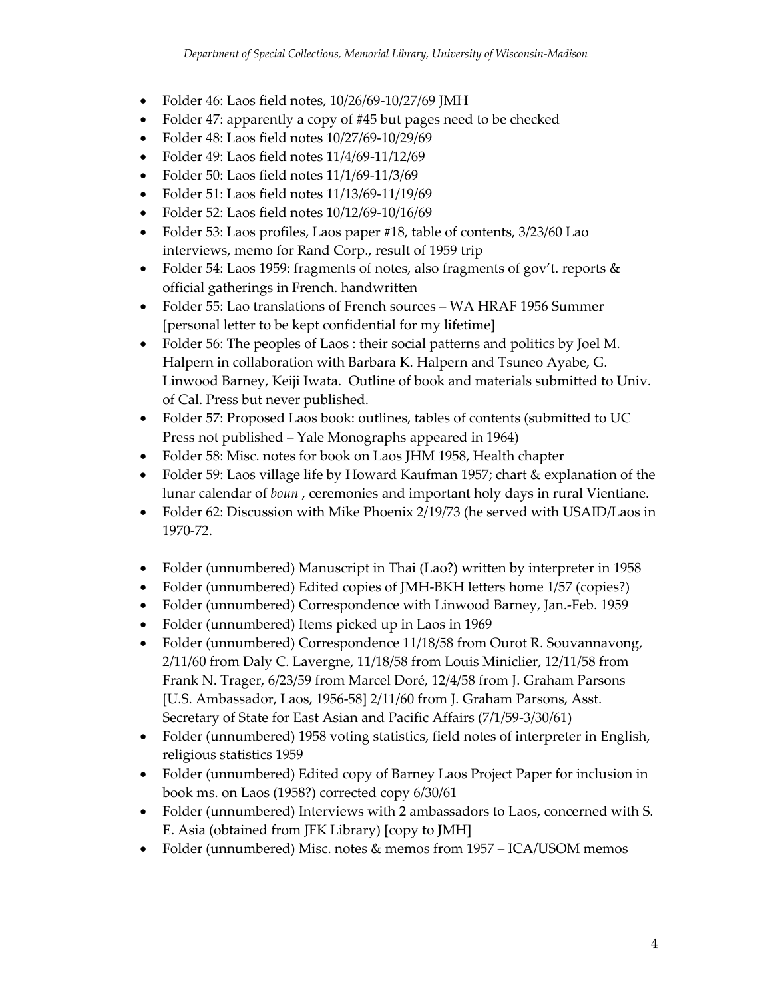- Folder 46: Laos field notes, 10/26/69-10/27/69 JMH
- Folder 47: apparently a copy of #45 but pages need to be checked
- Folder 48: Laos field notes 10/27/69-10/29/69
- Folder 49: Laos field notes 11/4/69-11/12/69
- Folder 50: Laos field notes 11/1/69-11/3/69
- Folder 51: Laos field notes 11/13/69-11/19/69
- Folder 52: Laos field notes 10/12/69-10/16/69
- Folder 53: Laos profiles, Laos paper #18, table of contents,  $3/23/60$  Lao interviews, memo for Rand Corp., result of 1959 trip
- Folder 54: Laos 1959: fragments of notes, also fragments of gov't. reports & official gatherings in French. handwritten
- Folder 55: Lao translations of French sources WA HRAF 1956 Summer [personal letter to be kept confidential for my lifetime]
- Folder 56: The peoples of Laos : their social patterns and politics by Joel M. Halpern in collaboration with Barbara K. Halpern and Tsuneo Ayabe, G. Linwood Barney, Keiji Iwata. Outline of book and materials submitted to Univ. of Cal. Press but never published.
- Folder 57: Proposed Laos book: outlines, tables of contents (submitted to UC Press not published – Yale Monographs appeared in 1964)
- Folder 58: Misc. notes for book on Laos JHM 1958, Health chapter
- Folder 59: Laos village life by Howard Kaufman 1957; chart & explanation of the lunar calendar of *boun* , ceremonies and important holy days in rural Vientiane.
- Folder 62: Discussion with Mike Phoenix 2/19/73 (he served with USAID/Laos in 1970-72.
- Folder (unnumbered) Manuscript in Thai (Lao?) written by interpreter in 1958
- Folder (unnumbered) Edited copies of JMH-BKH letters home 1/57 (copies?)
- Folder (unnumbered) Correspondence with Linwood Barney, Jan.-Feb. 1959
- Folder (unnumbered) Items picked up in Laos in 1969
- Folder (unnumbered) Correspondence 11/18/58 from Ourot R. Souvannavong, 2/11/60 from Daly C. Lavergne, 11/18/58 from Louis Miniclier, 12/11/58 from Frank N. Trager, 6/23/59 from Marcel Doré, 12/4/58 from J. Graham Parsons [U.S. Ambassador, Laos, 1956-58] 2/11/60 from J. Graham Parsons, Asst. Secretary of State for East Asian and Pacific Affairs (7/1/59-3/30/61)
- Folder (unnumbered) 1958 voting statistics, field notes of interpreter in English, religious statistics 1959
- Folder (unnumbered) Edited copy of Barney Laos Project Paper for inclusion in book ms. on Laos (1958?) corrected copy 6/30/61
- Folder (unnumbered) Interviews with 2 ambassadors to Laos, concerned with S. E. Asia (obtained from JFK Library) [copy to JMH]
- Folder (unnumbered) Misc. notes & memos from 1957 ICA/USOM memos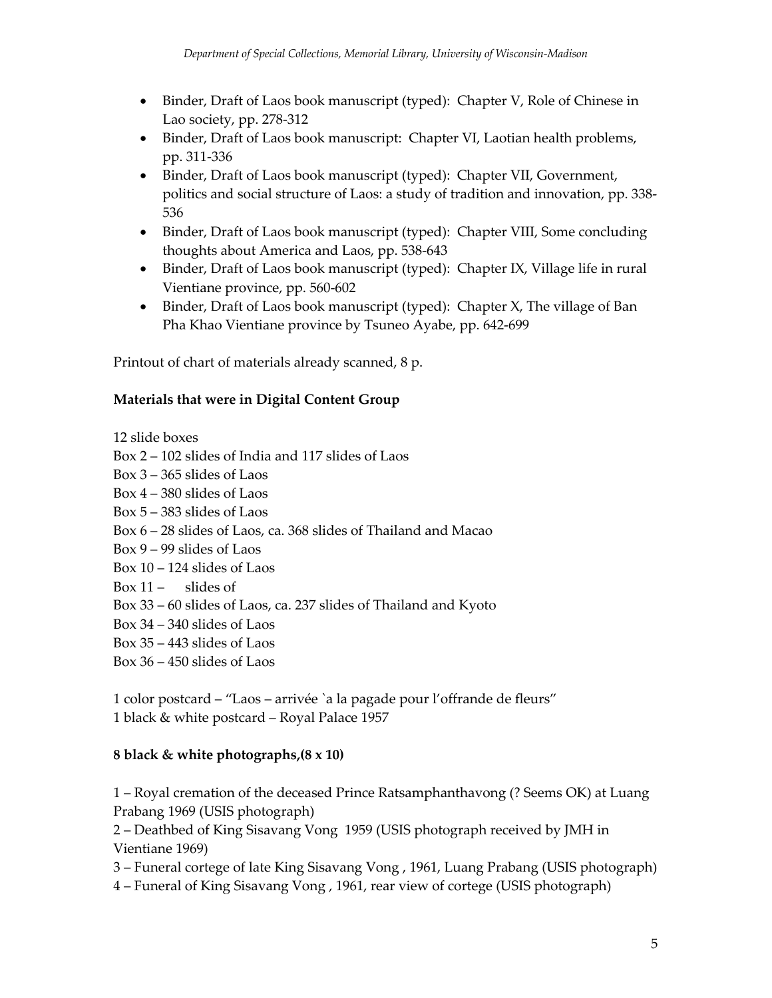- Binder, Draft of Laos book manuscript (typed): Chapter V, Role of Chinese in Lao society, pp. 278-312
- Binder, Draft of Laos book manuscript: Chapter VI, Laotian health problems, pp. 311-336
- Binder, Draft of Laos book manuscript (typed): Chapter VII, Government, politics and social structure of Laos: a study of tradition and innovation, pp. 338- 536
- Binder, Draft of Laos book manuscript (typed): Chapter VIII, Some concluding thoughts about America and Laos, pp. 538-643
- Binder, Draft of Laos book manuscript (typed): Chapter IX, Village life in rural Vientiane province, pp. 560-602
- Binder, Draft of Laos book manuscript (typed): Chapter X, The village of Ban Pha Khao Vientiane province by Tsuneo Ayabe, pp. 642-699

Printout of chart of materials already scanned, 8 p.

### **Materials that were in Digital Content Group**

12 slide boxes

Box 2 – 102 slides of India and 117 slides of Laos

Box 3 – 365 slides of Laos

Box 4 – 380 slides of Laos

- Box 5 383 slides of Laos
- Box 6 28 slides of Laos, ca. 368 slides of Thailand and Macao
- Box 9 99 slides of Laos
- Box 10 124 slides of Laos
- Box  $11 -$  slides of
- Box 33 60 slides of Laos, ca. 237 slides of Thailand and Kyoto
- Box 34 340 slides of Laos
- Box 35 443 slides of Laos
- Box 36 450 slides of Laos

1 color postcard – "Laos – arrivée `a la pagade pour l'offrande de fleurs" 1 black & white postcard – Royal Palace 1957

### **8 black & white photographs,(8 x 10)**

1 – Royal cremation of the deceased Prince Ratsamphanthavong (? Seems OK) at Luang Prabang 1969 (USIS photograph)

2 – Deathbed of King Sisavang Vong 1959 (USIS photograph received by JMH in Vientiane 1969)

3 – Funeral cortege of late King Sisavang Vong , 1961, Luang Prabang (USIS photograph)

4 – Funeral of King Sisavang Vong , 1961, rear view of cortege (USIS photograph)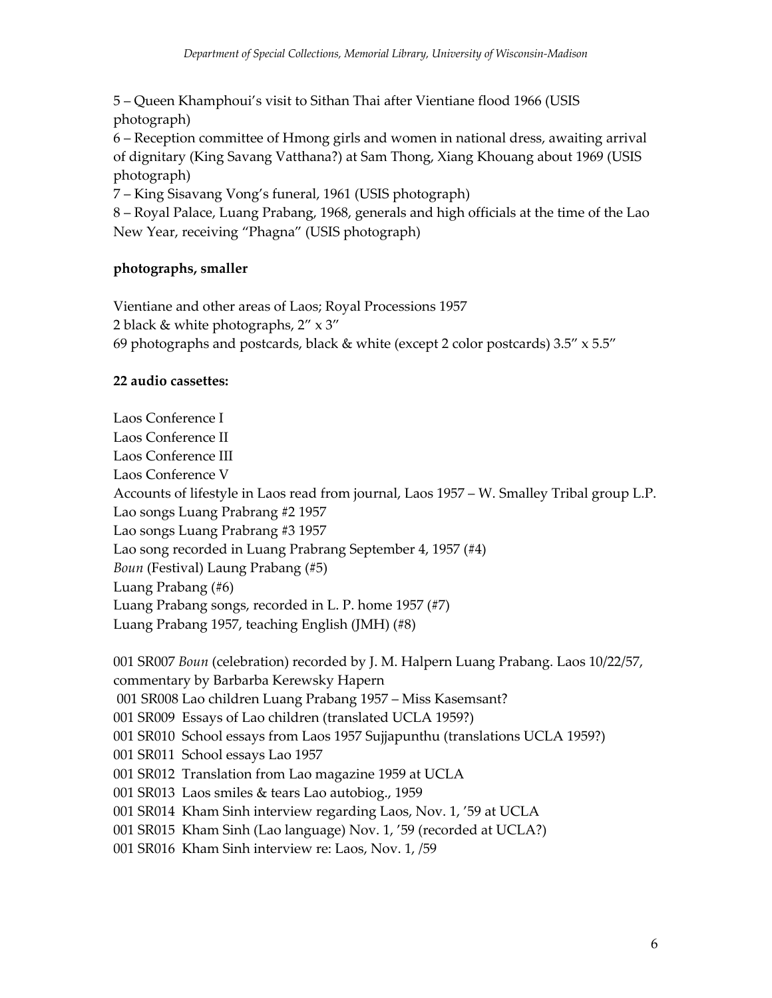5 – Queen Khamphoui's visit to Sithan Thai after Vientiane flood 1966 (USIS photograph)

6 – Reception committee of Hmong girls and women in national dress, awaiting arrival of dignitary (King Savang Vatthana?) at Sam Thong, Xiang Khouang about 1969 (USIS photograph)

7 – King Sisavang Vong's funeral, 1961 (USIS photograph)

8 – Royal Palace, Luang Prabang, 1968, generals and high officials at the time of the Lao New Year, receiving "Phagna" (USIS photograph)

# **photographs, smaller**

Vientiane and other areas of Laos; Royal Processions 1957 2 black & white photographs, 2" x 3" 69 photographs and postcards, black & white (except 2 color postcards)  $3.5'' \times 5.5''$ 

# **22 audio cassettes:**

Laos Conference I Laos Conference II Laos Conference III Laos Conference V Accounts of lifestyle in Laos read from journal, Laos 1957 – W. Smalley Tribal group L.P. Lao songs Luang Prabrang #2 1957 Lao songs Luang Prabrang #3 1957 Lao song recorded in Luang Prabrang September 4, 1957 (#4) *Boun* (Festival) Laung Prabang (#5) Luang Prabang (#6) Luang Prabang songs, recorded in L. P. home 1957 (#7) Luang Prabang 1957, teaching English (JMH) (#8)

001 SR007 *Boun* (celebration) recorded by J. M. Halpern Luang Prabang. Laos 10/22/57, commentary by Barbarba Kerewsky Hapern 001 SR008 Lao children Luang Prabang 1957 – Miss Kasemsant? 001 SR009 Essays of Lao children (translated UCLA 1959?) 001 SR010 School essays from Laos 1957 Sujjapunthu (translations UCLA 1959?) 001 SR011 School essays Lao 1957 001 SR012 Translation from Lao magazine 1959 at UCLA 001 SR013 Laos smiles & tears Lao autobiog., 1959 001 SR014 Kham Sinh interview regarding Laos, Nov. 1, '59 at UCLA 001 SR015 Kham Sinh (Lao language) Nov. 1, '59 (recorded at UCLA?) 001 SR016 Kham Sinh interview re: Laos, Nov. 1, /59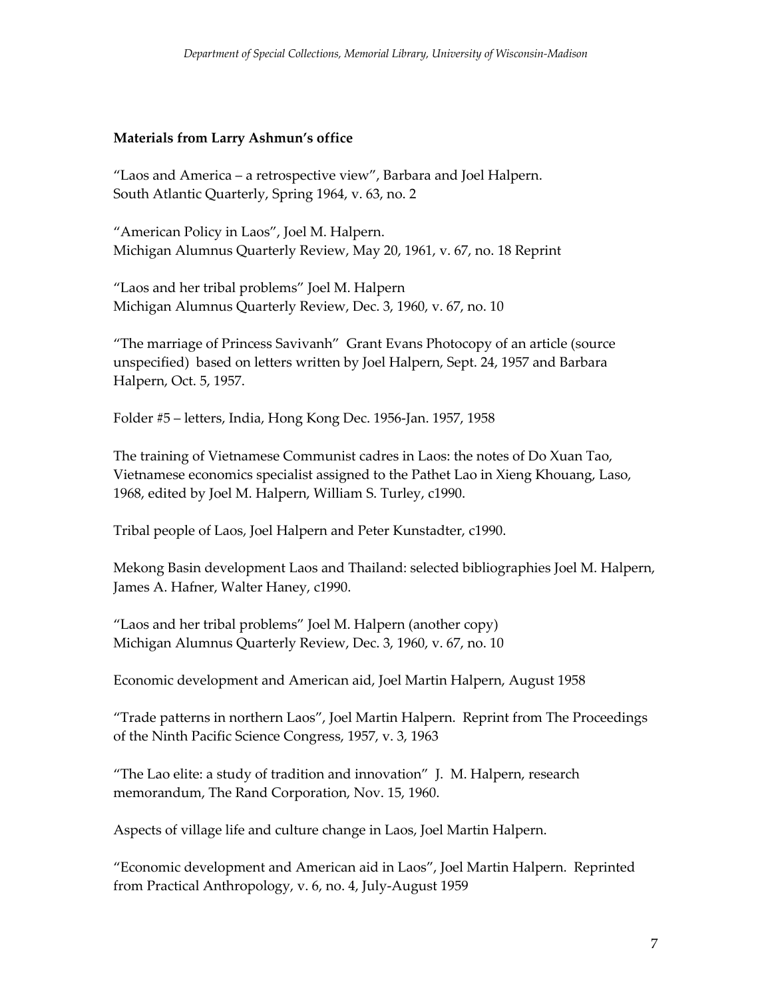## **Materials from Larry Ashmun's office**

"Laos and America – a retrospective view", Barbara and Joel Halpern. South Atlantic Quarterly, Spring 1964, v. 63, no. 2

"American Policy in Laos", Joel M. Halpern. Michigan Alumnus Quarterly Review, May 20, 1961, v. 67, no. 18 Reprint

"Laos and her tribal problems" Joel M. Halpern Michigan Alumnus Quarterly Review, Dec. 3, 1960, v. 67, no. 10

"The marriage of Princess Savivanh" Grant Evans Photocopy of an article (source unspecified) based on letters written by Joel Halpern, Sept. 24, 1957 and Barbara Halpern, Oct. 5, 1957.

Folder #5 – letters, India, Hong Kong Dec. 1956-Jan. 1957, 1958

The training of Vietnamese Communist cadres in Laos: the notes of Do Xuan Tao, Vietnamese economics specialist assigned to the Pathet Lao in Xieng Khouang, Laso, 1968, edited by Joel M. Halpern, William S. Turley, c1990.

Tribal people of Laos, Joel Halpern and Peter Kunstadter, c1990.

Mekong Basin development Laos and Thailand: selected bibliographies Joel M. Halpern, James A. Hafner, Walter Haney, c1990.

"Laos and her tribal problems" Joel M. Halpern (another copy) Michigan Alumnus Quarterly Review, Dec. 3, 1960, v. 67, no. 10

Economic development and American aid, Joel Martin Halpern, August 1958

"Trade patterns in northern Laos", Joel Martin Halpern. Reprint from The Proceedings of the Ninth Pacific Science Congress, 1957, v. 3, 1963

"The Lao elite: a study of tradition and innovation" J. M. Halpern, research memorandum, The Rand Corporation, Nov. 15, 1960.

Aspects of village life and culture change in Laos, Joel Martin Halpern.

"Economic development and American aid in Laos", Joel Martin Halpern. Reprinted from Practical Anthropology, v. 6, no. 4, July-August 1959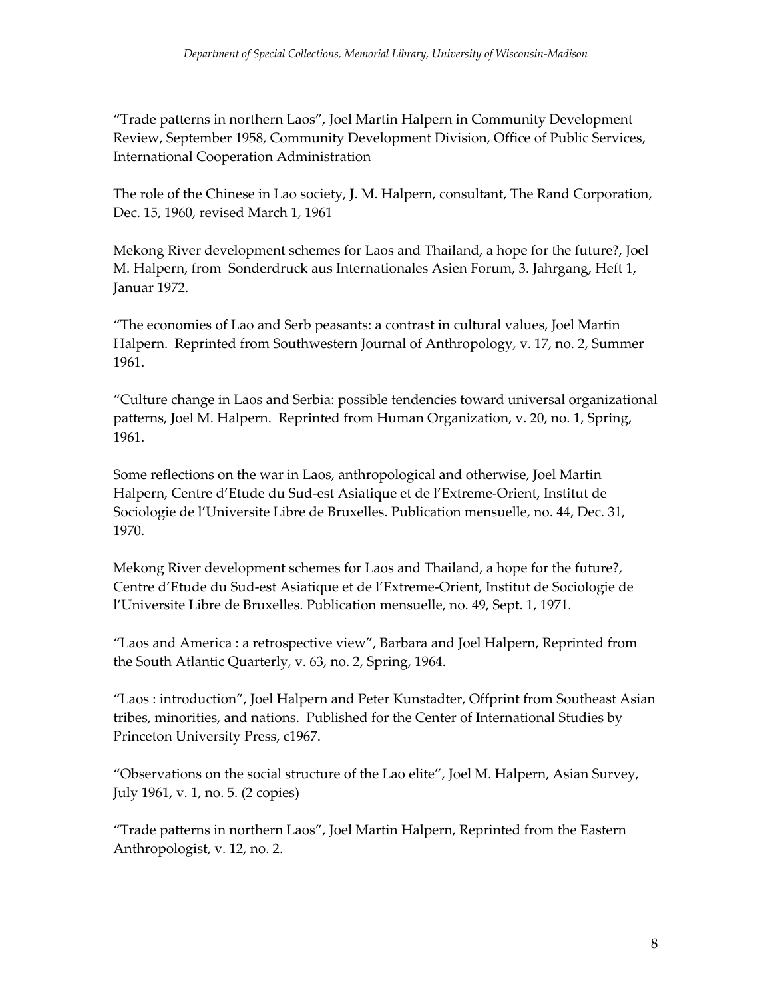"Trade patterns in northern Laos", Joel Martin Halpern in Community Development Review, September 1958, Community Development Division, Office of Public Services, International Cooperation Administration

The role of the Chinese in Lao society, J. M. Halpern, consultant, The Rand Corporation, Dec. 15, 1960, revised March 1, 1961

Mekong River development schemes for Laos and Thailand, a hope for the future?, Joel M. Halpern, from Sonderdruck aus Internationales Asien Forum, 3. Jahrgang, Heft 1, Januar 1972.

"The economies of Lao and Serb peasants: a contrast in cultural values, Joel Martin Halpern. Reprinted from Southwestern Journal of Anthropology, v. 17, no. 2, Summer 1961.

"Culture change in Laos and Serbia: possible tendencies toward universal organizational patterns, Joel M. Halpern. Reprinted from Human Organization, v. 20, no. 1, Spring, 1961.

Some reflections on the war in Laos, anthropological and otherwise, Joel Martin Halpern, Centre d'Etude du Sud-est Asiatique et de l'Extreme-Orient, Institut de Sociologie de l'Universite Libre de Bruxelles. Publication mensuelle, no. 44, Dec. 31, 1970.

Mekong River development schemes for Laos and Thailand, a hope for the future?, Centre d'Etude du Sud-est Asiatique et de l'Extreme-Orient, Institut de Sociologie de l'Universite Libre de Bruxelles. Publication mensuelle, no. 49, Sept. 1, 1971.

"Laos and America : a retrospective view", Barbara and Joel Halpern, Reprinted from the South Atlantic Quarterly, v. 63, no. 2, Spring, 1964.

"Laos : introduction", Joel Halpern and Peter Kunstadter, Offprint from Southeast Asian tribes, minorities, and nations. Published for the Center of International Studies by Princeton University Press, c1967.

"Observations on the social structure of the Lao elite", Joel M. Halpern, Asian Survey, July 1961, v. 1, no. 5. (2 copies)

"Trade patterns in northern Laos", Joel Martin Halpern, Reprinted from the Eastern Anthropologist, v. 12, no. 2.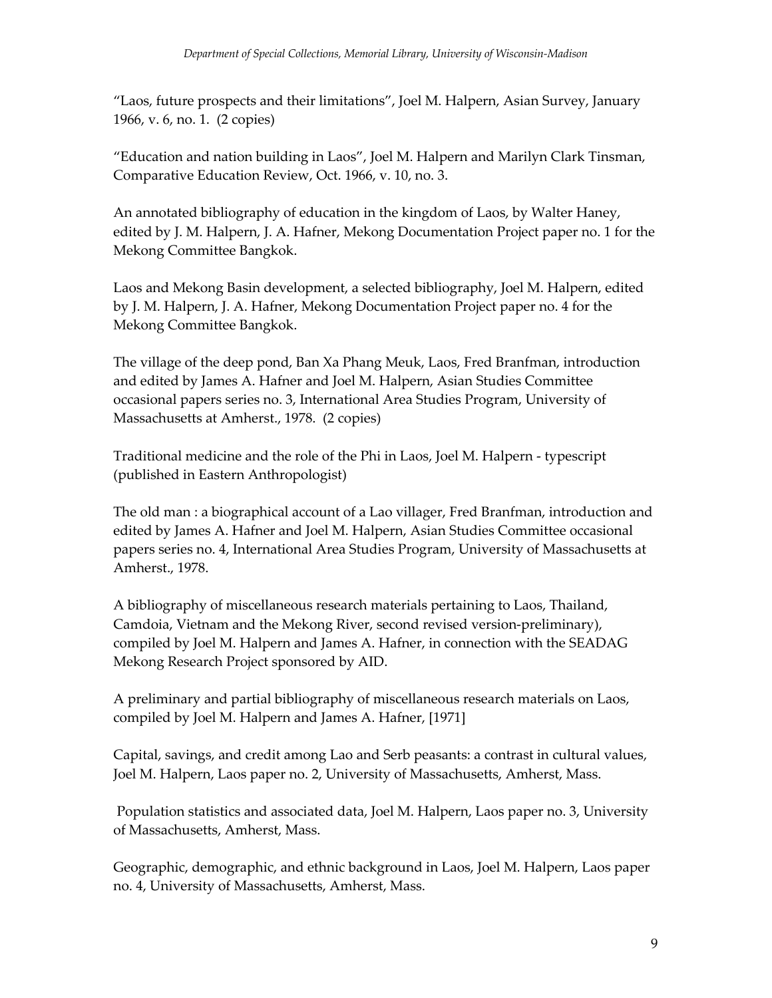"Laos, future prospects and their limitations", Joel M. Halpern, Asian Survey, January 1966, v. 6, no. 1. (2 copies)

"Education and nation building in Laos", Joel M. Halpern and Marilyn Clark Tinsman, Comparative Education Review, Oct. 1966, v. 10, no. 3.

An annotated bibliography of education in the kingdom of Laos, by Walter Haney, edited by J. M. Halpern, J. A. Hafner, Mekong Documentation Project paper no. 1 for the Mekong Committee Bangkok.

Laos and Mekong Basin development, a selected bibliography, Joel M. Halpern, edited by J. M. Halpern, J. A. Hafner, Mekong Documentation Project paper no. 4 for the Mekong Committee Bangkok.

The village of the deep pond, Ban Xa Phang Meuk, Laos, Fred Branfman, introduction and edited by James A. Hafner and Joel M. Halpern, Asian Studies Committee occasional papers series no. 3, International Area Studies Program, University of Massachusetts at Amherst., 1978. (2 copies)

Traditional medicine and the role of the Phi in Laos, Joel M. Halpern - typescript (published in Eastern Anthropologist)

The old man : a biographical account of a Lao villager, Fred Branfman, introduction and edited by James A. Hafner and Joel M. Halpern, Asian Studies Committee occasional papers series no. 4, International Area Studies Program, University of Massachusetts at Amherst., 1978.

A bibliography of miscellaneous research materials pertaining to Laos, Thailand, Camdoia, Vietnam and the Mekong River, second revised version-preliminary), compiled by Joel M. Halpern and James A. Hafner, in connection with the SEADAG Mekong Research Project sponsored by AID.

A preliminary and partial bibliography of miscellaneous research materials on Laos, compiled by Joel M. Halpern and James A. Hafner, [1971]

Capital, savings, and credit among Lao and Serb peasants: a contrast in cultural values, Joel M. Halpern, Laos paper no. 2, University of Massachusetts, Amherst, Mass.

Population statistics and associated data, Joel M. Halpern, Laos paper no. 3, University of Massachusetts, Amherst, Mass.

Geographic, demographic, and ethnic background in Laos, Joel M. Halpern, Laos paper no. 4, University of Massachusetts, Amherst, Mass.